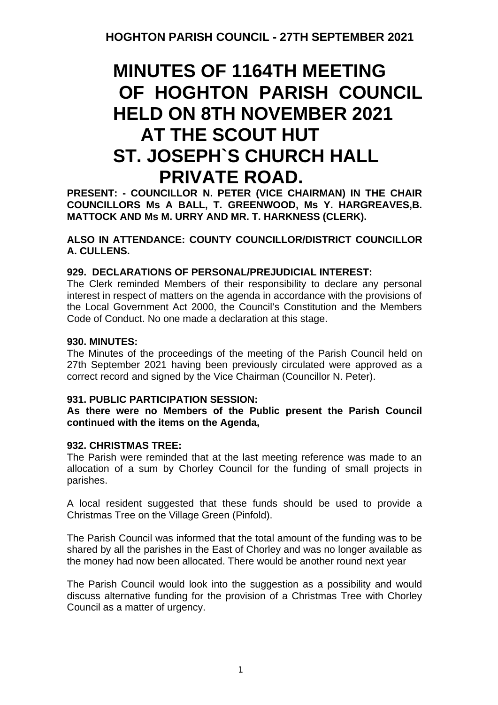# **MINUTES OF 1164TH MEETING OF HOGHTON PARISH COUNCIL HELD ON 8TH NOVEMBER 2021 AT THE SCOUT HUT ST. JOSEPH`S CHURCH HALL PRIVATE ROAD.**

**PRESENT: - COUNCILLOR N. PETER (VICE CHAIRMAN) IN THE CHAIR COUNCILLORS Ms A BALL, T. GREENWOOD, Ms Y. HARGREAVES,B. MATTOCK AND Ms M. URRY AND MR. T. HARKNESS (CLERK).**

**ALSO IN ATTENDANCE: COUNTY COUNCILLOR/DISTRICT COUNCILLOR A. CULLENS.**

### **929. DECLARATIONS OF PERSONAL/PREJUDICIAL INTEREST:**

The Clerk reminded Members of their responsibility to declare any personal interest in respect of matters on the agenda in accordance with the provisions of the Local Government Act 2000, the Council's Constitution and the Members Code of Conduct. No one made a declaration at this stage.

### **930. MINUTES:**

The Minutes of the proceedings of the meeting of the Parish Council held on 27th September 2021 having been previously circulated were approved as a correct record and signed by the Vice Chairman (Councillor N. Peter).

### **931. PUBLIC PARTICIPATION SESSION:**

### **As there were no Members of the Public present the Parish Council continued with the items on the Agenda,**

### **932. CHRISTMAS TREE:**

The Parish were reminded that at the last meeting reference was made to an allocation of a sum by Chorley Council for the funding of small projects in parishes.

A local resident suggested that these funds should be used to provide a Christmas Tree on the Village Green (Pinfold).

The Parish Council was informed that the total amount of the funding was to be shared by all the parishes in the East of Chorley and was no longer available as the money had now been allocated. There would be another round next year

The Parish Council would look into the suggestion as a possibility and would discuss alternative funding for the provision of a Christmas Tree with Chorley Council as a matter of urgency.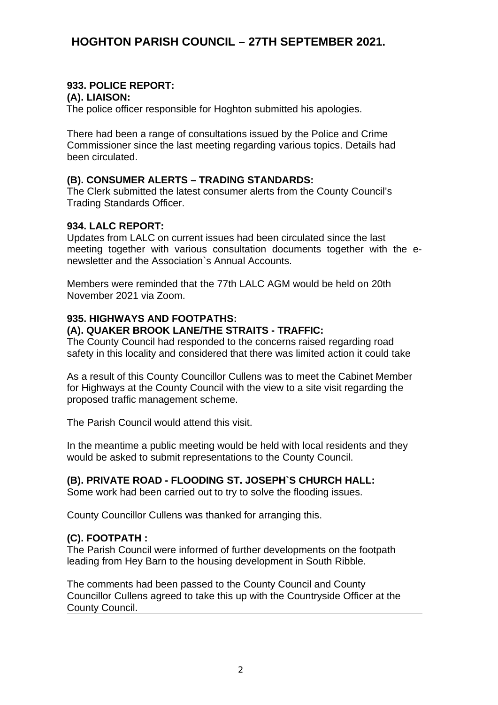### **933. POLICE REPORT:**

### **(A). LIAISON:**

The police officer responsible for Hoghton submitted his apologies.

There had been a range of consultations issued by the Police and Crime Commissioner since the last meeting regarding various topics. Details had been circulated.

### **(B). CONSUMER ALERTS – TRADING STANDARDS:**

The Clerk submitted the latest consumer alerts from the County Council's Trading Standards Officer.

### **934. LALC REPORT:**

Updates from LALC on current issues had been circulated since the last meeting together with various consultation documents together with the enewsletter and the Association`s Annual Accounts.

Members were reminded that the 77th LALC AGM would be held on 20th November 2021 via Zoom.

# **935. HIGHWAYS AND FOOTPATHS:**

### **(A). QUAKER BROOK LANE/THE STRAITS - TRAFFIC:**

The County Council had responded to the concerns raised regarding road safety in this locality and considered that there was limited action it could take

As a result of this County Councillor Cullens was to meet the Cabinet Member for Highways at the County Council with the view to a site visit regarding the proposed traffic management scheme.

The Parish Council would attend this visit.

In the meantime a public meeting would be held with local residents and they would be asked to submit representations to the County Council.

### **(B). PRIVATE ROAD - FLOODING ST. JOSEPH`S CHURCH HALL:**

Some work had been carried out to try to solve the flooding issues.

County Councillor Cullens was thanked for arranging this.

### **(C). FOOTPATH :**

The Parish Council were informed of further developments on the footpath leading from Hey Barn to the housing development in South Ribble.

The comments had been passed to the County Council and County Councillor Cullens agreed to take this up with the Countryside Officer at the County Council.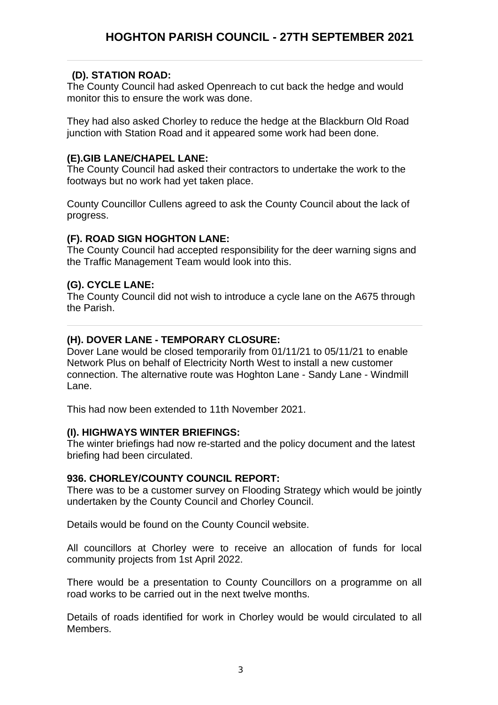### **(D). STATION ROAD:**

The County Council had asked Openreach to cut back the hedge and would monitor this to ensure the work was done.

They had also asked Chorley to reduce the hedge at the Blackburn Old Road junction with Station Road and it appeared some work had been done.

### **(E).GIB LANE/CHAPEL LANE:**

The County Council had asked their contractors to undertake the work to the footways but no work had yet taken place.

County Councillor Cullens agreed to ask the County Council about the lack of progress.

### **(F). ROAD SIGN HOGHTON LANE:**

The County Council had accepted responsibility for the deer warning signs and the Traffic Management Team would look into this.

### **(G). CYCLE LANE:**

The County Council did not wish to introduce a cycle lane on the A675 through the Parish.

### **(H). DOVER LANE - TEMPORARY CLOSURE:**

Dover Lane would be closed temporarily from 01/11/21 to 05/11/21 to enable Network Plus on behalf of Electricity North West to install a new customer connection. The alternative route was Hoghton Lane - Sandy Lane - Windmill Lane.

This had now been extended to 11th November 2021.

### **(I). HIGHWAYS WINTER BRIEFINGS:**

The winter briefings had now re-started and the policy document and the latest briefing had been circulated.

### **936. CHORLEY/COUNTY COUNCIL REPORT:**

There was to be a customer survey on Flooding Strategy which would be jointly undertaken by the County Council and Chorley Council.

Details would be found on the County Council website.

All councillors at Chorley were to receive an allocation of funds for local community projects from 1st April 2022.

There would be a presentation to County Councillors on a programme on all road works to be carried out in the next twelve months.

Details of roads identified for work in Chorley would be would circulated to all Members.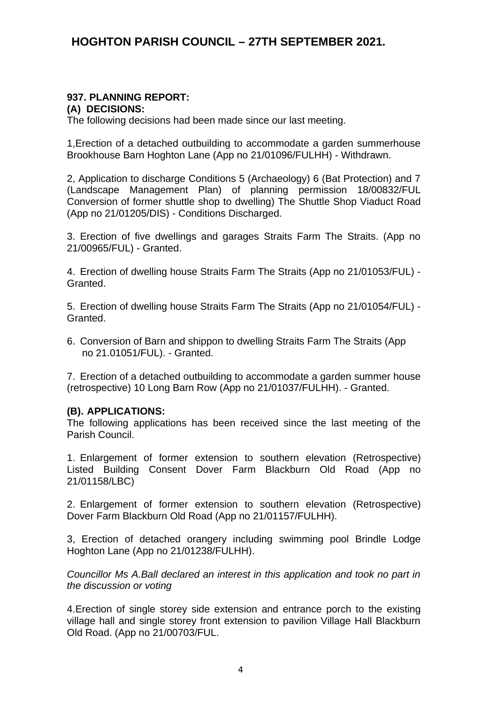### **937. PLANNING REPORT:**

**(A) DECISIONS:**

The following decisions had been made since our last meeting.

1,Erection of a detached outbuilding to accommodate a garden summerhouse Brookhouse Barn Hoghton Lane (App no 21/01096/FULHH) - Withdrawn.

2, Application to discharge Conditions 5 (Archaeology) 6 (Bat Protection) and 7 (Landscape Management Plan) of planning permission 18/00832/FUL Conversion of former shuttle shop to dwelling) The Shuttle Shop Viaduct Road (App no 21/01205/DIS) - Conditions Discharged.

3. Erection of five dwellings and garages Straits Farm The Straits. (App no 21/00965/FUL) - Granted.

4. Erection of dwelling house Straits Farm The Straits (App no 21/01053/FUL) - Granted.

5. Erection of dwelling house Straits Farm The Straits (App no 21/01054/FUL) - Granted.

6. Conversion of Barn and shippon to dwelling Straits Farm The Straits (App no 21.01051/FUL). - Granted.

7. Erection of a detached outbuilding to accommodate a garden summer house (retrospective) 10 Long Barn Row (App no 21/01037/FULHH). - Granted.

#### **(B). APPLICATIONS:**

The following applications has been received since the last meeting of the Parish Council.

1. Enlargement of former extension to southern elevation (Retrospective) Listed Building Consent Dover Farm Blackburn Old Road (App no 21/01158/LBC)

2. Enlargement of former extension to southern elevation (Retrospective) Dover Farm Blackburn Old Road (App no 21/01157/FULHH).

3, Erection of detached orangery including swimming pool Brindle Lodge Hoghton Lane (App no 21/01238/FULHH).

*Councillor Ms A.Ball declared an interest in this application and took no part in the discussion or voting*

4.Erection of single storey side extension and entrance porch to the existing village hall and single storey front extension to pavilion Village Hall Blackburn Old Road. (App no 21/00703/FUL.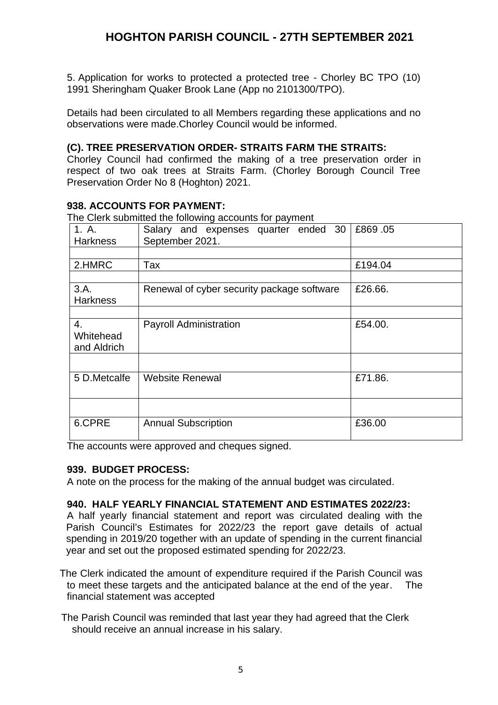5. Application for works to protected a protected tree - Chorley BC TPO (10) 1991 Sheringham Quaker Brook Lane (App no 2101300/TPO).

Details had been circulated to all Members regarding these applications and no observations were made.Chorley Council would be informed.

### **(C). TREE PRESERVATION ORDER- STRAITS FARM THE STRAITS:**

Chorley Council had confirmed the making of a tree preservation order in respect of two oak trees at Straits Farm. (Chorley Borough Council Tree Preservation Order No 8 (Hoghton) 2021.

### **938. ACCOUNTS FOR PAYMENT:**

The Clerk submitted the following accounts for payment

| 1. A.<br><b>Harkness</b>       | Salary and expenses quarter ended 30<br>September 2021. | £869.05 |
|--------------------------------|---------------------------------------------------------|---------|
|                                |                                                         |         |
| 2.HMRC                         | Tax                                                     | £194.04 |
|                                |                                                         |         |
| 3.A.<br>Harkness               | Renewal of cyber security package software              | £26.66. |
|                                |                                                         |         |
| 4.<br>Whitehead<br>and Aldrich | <b>Payroll Administration</b>                           | £54.00. |
|                                |                                                         |         |
| 5 D.Metcalfe                   | <b>Website Renewal</b>                                  | £71.86. |
|                                |                                                         |         |
| 6.CPRE                         | <b>Annual Subscription</b>                              | £36.00  |

The accounts were approved and cheques signed.

#### **939. BUDGET PROCESS:**

A note on the process for the making of the annual budget was circulated.

#### **940. HALF YEARLY FINANCIAL STATEMENT AND ESTIMATES 2022/23:**

A half yearly financial statement and report was circulated dealing with the Parish Council's Estimates for 2022/23 the report gave details of actual spending in 2019/20 together with an update of spending in the current financial year and set out the proposed estimated spending for 2022/23.

The Clerk indicated the amount of expenditure required if the Parish Council was to meet these targets and the anticipated balance at the end of the year. The financial statement was accepted

 The Parish Council was reminded that last year they had agreed that the Clerk should receive an annual increase in his salary.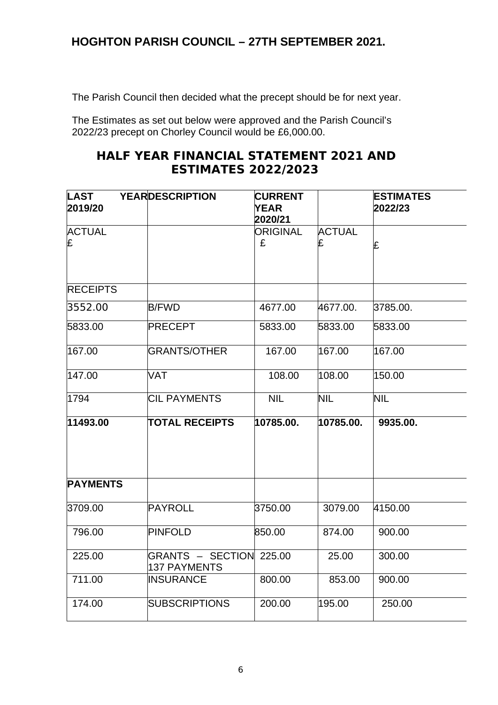The Parish Council then decided what the precept should be for next year.

The Estimates as set out below were approved and the Parish Council's 2022/23 precept on Chorley Council would be £6,000.00.

# **HALF YEAR FINANCIAL STATEMENT 2021 AND ESTIMATES 2022/2023**

| <b>LAST</b><br>2019/20 | <b>YEARDESCRIPTION</b>                  | <b>CURRENT</b><br><b>YEAR</b><br>2020/21 |                    | <b>ESTIMATES</b><br>2022/23 |
|------------------------|-----------------------------------------|------------------------------------------|--------------------|-----------------------------|
| <b>ACTUAL</b><br>£     |                                         | <b>ORIGINAL</b><br>£                     | <b>ACTUAL</b><br>£ | £                           |
| <b>RECEIPTS</b>        |                                         |                                          |                    |                             |
| 3552.00                | <b>B/FWD</b>                            | 4677.00                                  | 4677.00.           | 3785.00.                    |
| 5833.00                | PRECEPT                                 | 5833.00                                  | 5833.00            | 5833.00                     |
| 167.00                 | <b>GRANTS/OTHER</b>                     | 167.00                                   | 167.00             | 167.00                      |
| 147.00                 | VAT                                     | 108.00                                   | 108.00             | 150.00                      |
| 1794                   | <b>CIL PAYMENTS</b>                     | <b>NIL</b>                               | NIL                | NIL                         |
| 11493.00               | <b>TOTAL RECEIPTS</b>                   | 10785.00.                                | 10785.00.          | 9935.00.                    |
| <b>PAYMENTS</b>        |                                         |                                          |                    |                             |
| 3709.00                | PAYROLL                                 | 3750.00                                  | 3079.00            | 4150.00                     |
| 796.00                 | PINFOLD                                 | 850.00                                   | 874.00             | 900.00                      |
| 225.00                 | GRANTS - SECTION 225.00<br>137 PAYMENTS |                                          | 25.00              | 300.00                      |
| 711.00                 | <b>INSURANCE</b>                        | 800.00                                   | 853.00             | 900.00                      |
| 174.00                 | <b>SUBSCRIPTIONS</b>                    | 200.00                                   | 195.00             | 250.00                      |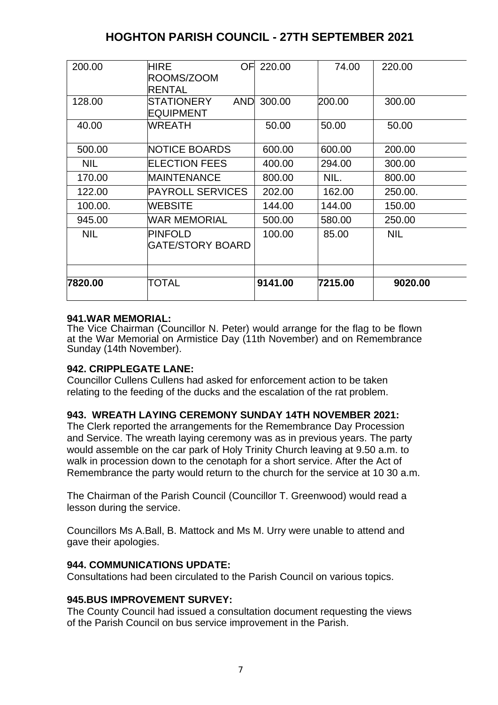| 200.00     | HIRE<br>OF<br>ROOMS/ZOOM<br><b>RENTAL</b> | 220.00     | 74.00   | 220.00     |
|------------|-------------------------------------------|------------|---------|------------|
| 128.00     | <b>STATIONERY</b><br><b>EQUIPMENT</b>     | AND 300.00 | 200.00  | 300.00     |
| 40.00      | WREATH                                    | 50.00      | 50.00   | 50.00      |
| 500.00     | <b>NOTICE BOARDS</b>                      | 600.00     | 600.00  | 200.00     |
| <b>NIL</b> | <b>ELECTION FEES</b>                      | 400.00     | 294.00  | 300.00     |
| 170.00     | MAINTENANCE                               | 800.00     | NIL.    | 800.00     |
| 122.00     | <b>PAYROLL SERVICES</b>                   | 202.00     | 162.00  | 250.00.    |
| 100.00.    | WEBSITE                                   | 144.00     | 144.00  | 150.00     |
| 945.00     | WAR MEMORIAL                              | 500.00     | 580.00  | 250.00     |
| <b>NIL</b> | <b>PINFOLD</b><br><b>GATE/STORY BOARD</b> | 100.00     | 85.00   | <b>NIL</b> |
| 7820.00    | TOTAL                                     | 9141.00    | 7215.00 | 9020.00    |

### **941.WAR MEMORIAL:**

The Vice Chairman (Councillor N. Peter) would arrange for the flag to be flown at the War Memorial on Armistice Day (11th November) and on Remembrance Sunday (14th November).

#### **942. CRIPPLEGATE LANE:**

Councillor Cullens Cullens had asked for enforcement action to be taken relating to the feeding of the ducks and the escalation of the rat problem.

#### **943. WREATH LAYING CEREMONY SUNDAY 14TH NOVEMBER 2021:**

The Clerk reported the arrangements for the Remembrance Day Procession and Service. The wreath laying ceremony was as in previous years. The party would assemble on the car park of Holy Trinity Church leaving at 9.50 a.m. to walk in procession down to the cenotaph for a short service. After the Act of Remembrance the party would return to the church for the service at 10 30 a.m.

The Chairman of the Parish Council (Councillor T. Greenwood) would read a lesson during the service.

Councillors Ms A.Ball, B. Mattock and Ms M. Urry were unable to attend and gave their apologies.

#### **944. COMMUNICATIONS UPDATE:**

Consultations had been circulated to the Parish Council on various topics.

### **945.BUS IMPROVEMENT SURVEY:**

The County Council had issued a consultation document requesting the views of the Parish Council on bus service improvement in the Parish.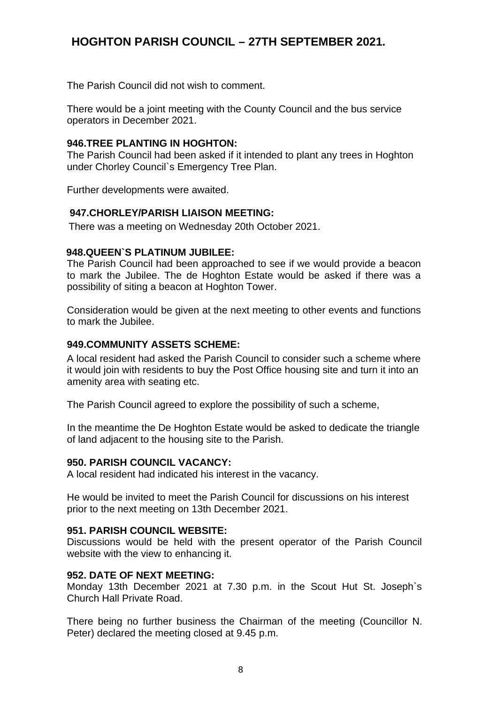The Parish Council did not wish to comment.

There would be a joint meeting with the County Council and the bus service operators in December 2021.

### **946.TREE PLANTING IN HOGHTON:**

The Parish Council had been asked if it intended to plant any trees in Hoghton under Chorley Council`s Emergency Tree Plan.

Further developments were awaited.

#### **947.CHORLEY/PARISH LIAISON MEETING:**

There was a meeting on Wednesday 20th October 2021.

### **948.QUEEN`S PLATINUM JUBILEE:**

The Parish Council had been approached to see if we would provide a beacon to mark the Jubilee. The de Hoghton Estate would be asked if there was a possibility of siting a beacon at Hoghton Tower.

Consideration would be given at the next meeting to other events and functions to mark the Jubilee.

### **949.COMMUNITY ASSETS SCHEME:**

A local resident had asked the Parish Council to consider such a scheme where it would join with residents to buy the Post Office housing site and turn it into an amenity area with seating etc.

The Parish Council agreed to explore the possibility of such a scheme,

In the meantime the De Hoghton Estate would be asked to dedicate the triangle of land adjacent to the housing site to the Parish.

#### **950. PARISH COUNCIL VACANCY:**

A local resident had indicated his interest in the vacancy.

He would be invited to meet the Parish Council for discussions on his interest prior to the next meeting on 13th December 2021.

### **951. PARISH COUNCIL WEBSITE:**

Discussions would be held with the present operator of the Parish Council website with the view to enhancing it.

#### **952. DATE OF NEXT MEETING:**

Monday 13th December 2021 at 7.30 p.m. in the Scout Hut St. Joseph`s Church Hall Private Road.

There being no further business the Chairman of the meeting (Councillor N. Peter) declared the meeting closed at 9.45 p.m.